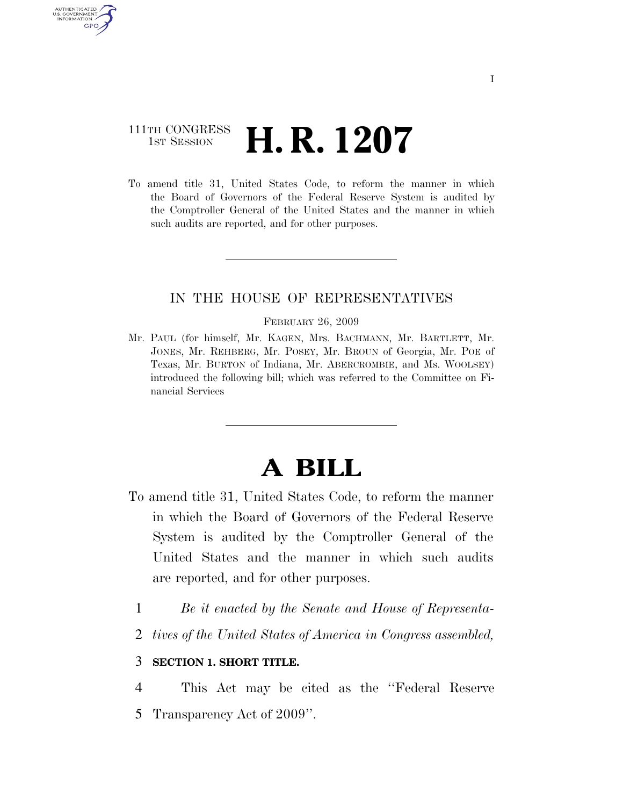## 111TH CONGRESS  $\frac{1}{15T}$  Session **H. R. 1207**

AUTHENTICATED U.S. GOVERNMENT GPO

> To amend title 31, United States Code, to reform the manner in which the Board of Governors of the Federal Reserve System is audited by the Comptroller General of the United States and the manner in which such audits are reported, and for other purposes.

## IN THE HOUSE OF REPRESENTATIVES

#### FEBRUARY 26, 2009

Mr. PAUL (for himself, Mr. KAGEN, Mrs. BACHMANN, Mr. BARTLETT, Mr. JONES, Mr. REHBERG, Mr. POSEY, Mr. BROUN of Georgia, Mr. POE of Texas, Mr. BURTON of Indiana, Mr. ABERCROMBIE, and Ms. WOOLSEY) introduced the following bill; which was referred to the Committee on Financial Services

# **A BILL**

- To amend title 31, United States Code, to reform the manner in which the Board of Governors of the Federal Reserve System is audited by the Comptroller General of the United States and the manner in which such audits are reported, and for other purposes.
	- 1 *Be it enacted by the Senate and House of Representa-*
	- 2 *tives of the United States of America in Congress assembled,*

### 3 **SECTION 1. SHORT TITLE.**

4 This Act may be cited as the ''Federal Reserve 5 Transparency Act of 2009''.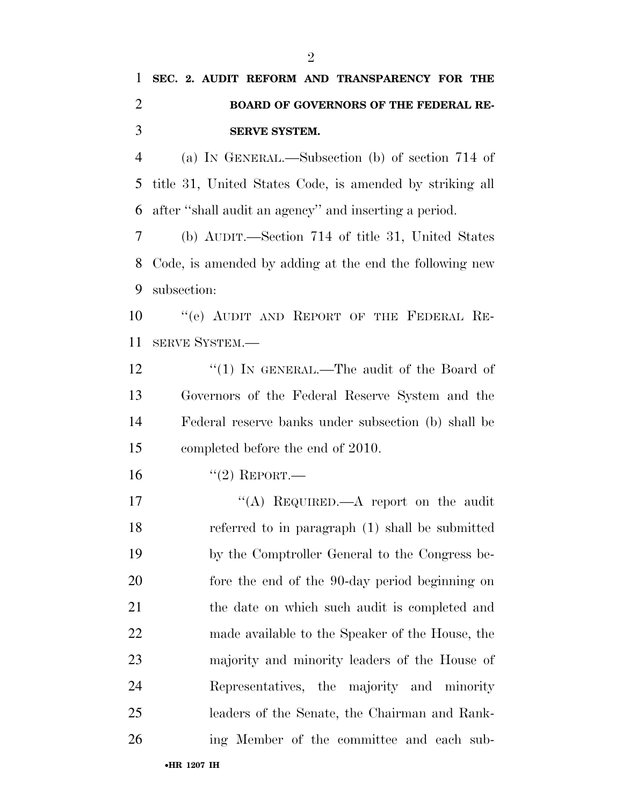## **SEC. 2. AUDIT REFORM AND TRANSPARENCY FOR THE BOARD OF GOVERNORS OF THE FEDERAL RE-SERVE SYSTEM.**

 (a) IN GENERAL.—Subsection (b) of section 714 of title 31, United States Code, is amended by striking all after ''shall audit an agency'' and inserting a period.

 (b) AUDIT.—Section 714 of title 31, United States Code, is amended by adding at the end the following new subsection:

10 "(e) AUDIT AND REPORT OF THE FEDERAL RE-SERVE SYSTEM.—

12 "(1) IN GENERAL.—The audit of the Board of Governors of the Federal Reserve System and the Federal reserve banks under subsection (b) shall be completed before the end of 2010.

16 "(2) REPORT.—

17 "(A) REQUIRED.—A report on the audit referred to in paragraph (1) shall be submitted by the Comptroller General to the Congress be- fore the end of the 90-day period beginning on the date on which such audit is completed and made available to the Speaker of the House, the majority and minority leaders of the House of Representatives, the majority and minority leaders of the Senate, the Chairman and Rank-ing Member of the committee and each sub-